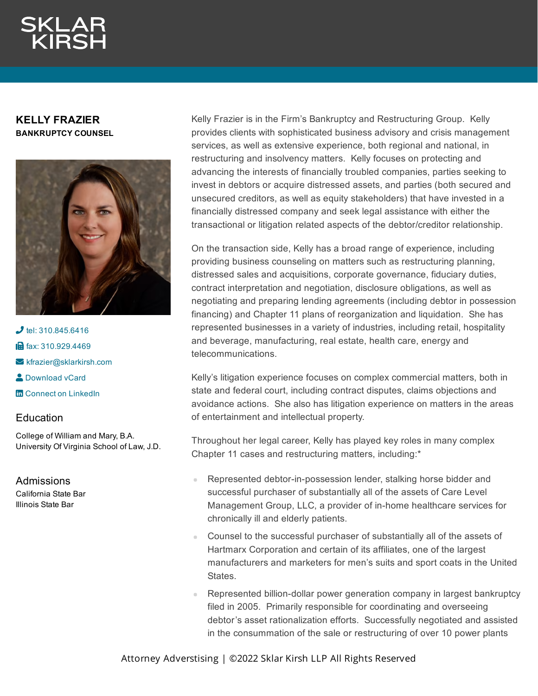## **KELLY FRAZIER BANKRUPTCY COUNSEL**



 $J$  tel: [310.845.6416](tel:310.845.6416) **in** fax: [310.929.4469](fax:310.929.4469)  $\blacktriangleright$  [kfrazier@sklarkirsh.com](mailto:kfrazier@sklarkirsh.com) **2** [Download](https://www.sklarkirsh.com/api/vcard?firstName=Kelly&middleName=K.&lastName=Frazier&email=kfrazier@sklarkirsh.com&position=BANKRUPTCY%20COUNSEL&company=Sklar%20Kirsh%20LLP&phone=310.845.6416&fax=310.929.4469&address1=1880%20Century%20Park%20East,%20Ste%20300&city=Los%20Angeles&state=CA&zip=90067&country=US&image=https%253A%252F%252Fres.cloudinary.com%252Fsklar-kirsh-main%252Fimages%252F%252Ff_auto%252Cq_auto%252Fv1644341020%252FKFrazier_49350ad67%252FKFrazier_49350ad67.jpg%253F_i%253DAA&) vCard **m** Connect on [LinkedIn](https://www.linkedin.com/in/kelly-frazier-7077a6137/)

## **Education**

College of William and Mary, B.A. University Of Virginia School of Law, J.D.

Admissions California State Bar Illinois State Bar

Kelly Frazier is in the Firm's Bankruptcy and Restructuring Group. Kelly provides clients with sophisticated business advisory and crisis management services, as well as extensive experience, both regional and national, in restructuring and insolvency matters. Kelly focuses on protecting and advancing the interests of financially troubled companies, parties seeking to invest in debtors or acquire distressed assets, and parties (both secured and unsecured creditors, as well as equity stakeholders) that have invested in a financially distressed company and seek legal assistance with either the transactional or litigation related aspects of the debtor/creditor relationship.

On the transaction side, Kelly has a broad range of experience, including providing business counseling on matters such as restructuring planning, distressed sales and acquisitions, corporate governance, fiduciary duties, contract interpretation and negotiation, disclosure obligations, as well as negotiating and preparing lending agreements (including debtor in possession financing) and Chapter 11 plans of reorganization and liquidation. She has represented businesses in a variety of industries, including retail, hospitality and beverage, manufacturing, real estate, health care, energy and telecommunications.

Kelly's litigation experience focuses on complex commercial matters, both in state and federal court, including contract disputes, claims objections and avoidance actions. She also has litigation experience on matters in the areas of entertainment and intellectual property.

Throughout her legal career, Kelly has played key roles in many complex Chapter 11 cases and restructuring matters, including:\*

- Represented debtor-in-possession lender, stalking horse bidder and successful purchaser of substantially all of the assets of Care Level Management Group, LLC, a provider of in-home healthcare services for chronically ill and elderly patients.
- Counsel to the successful purchaser of substantially all of the assets of Hartmarx Corporation and certain of its affiliates, one of the largest manufacturers and marketers for men's suits and sport coats in the United States.
- Represented billion-dollar power generation company in largest bankruptcy filed in 2005. Primarily responsible for coordinating and overseeing debtor's asset rationalization efforts. Successfully negotiated and assisted in the consummation of the sale or restructuring of over 10 power plants

Attorney Adverstising | ©2022 Sklar Kirsh LLP All Rights Reserved